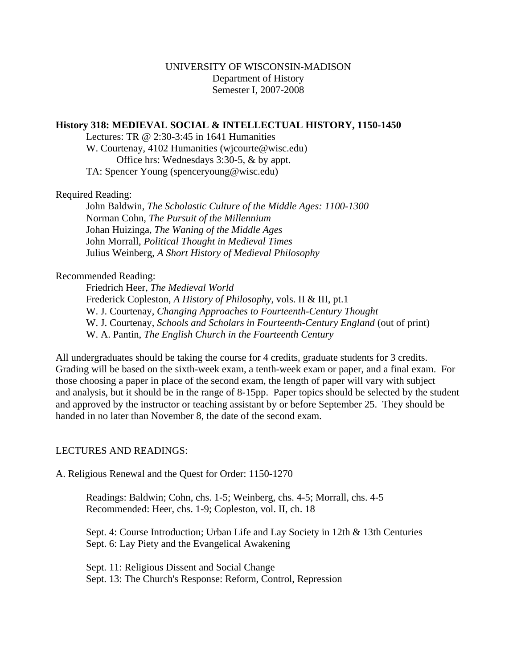## **History 318: MEDIEVAL SOCIAL & INTELLECTUAL HISTORY, 1150-1450**

 Lectures: TR @ 2:30-3:45 in 1641 Humanities W. Courtenay, 4102 Humanities (wjcourte@wisc.edu) Office hrs: Wednesdays 3:30-5, & by appt. TA: Spencer Young (spenceryoung@wisc.edu)

Required Reading:

John Baldwin, *The Scholastic Culture of the Middle Ages: 1100-1300* Norman Cohn, *The Pursuit of the Millennium* Johan Huizinga, *The Waning of the Middle Ages* John Morrall, *Political Thought in Medieval Times* Julius Weinberg, *A Short History of Medieval Philosophy*

## Recommended Reading:

 Friedrich Heer, *The Medieval World* Frederick Copleston, *A History of Philosophy*, vols. II & III, pt.1 W. J. Courtenay, *Changing Approaches to Fourteenth-Century Thought* W. J. Courtenay, *Schools and Scholars in Fourteenth-Century England* (out of print) W. A. Pantin, *The English Church in the Fourteenth Century*

All undergraduates should be taking the course for 4 credits, graduate students for 3 credits. Grading will be based on the sixth-week exam, a tenth-week exam or paper, and a final exam. For those choosing a paper in place of the second exam, the length of paper will vary with subject and analysis, but it should be in the range of 8-15pp. Paper topics should be selected by the student and approved by the instructor or teaching assistant by or before September 25. They should be handed in no later than November 8, the date of the second exam.

# LECTURES AND READINGS:

A. Religious Renewal and the Quest for Order: 1150-1270

Readings: Baldwin; Cohn, chs. 1-5; Weinberg, chs. 4-5; Morrall, chs. 4-5 Recommended: Heer, chs. 1-9; Copleston, vol. II, ch. 18

 Sept. 4: Course Introduction; Urban Life and Lay Society in 12th & 13th Centuries Sept. 6: Lay Piety and the Evangelical Awakening

 Sept. 11: Religious Dissent and Social Change Sept. 13: The Church's Response: Reform, Control, Repression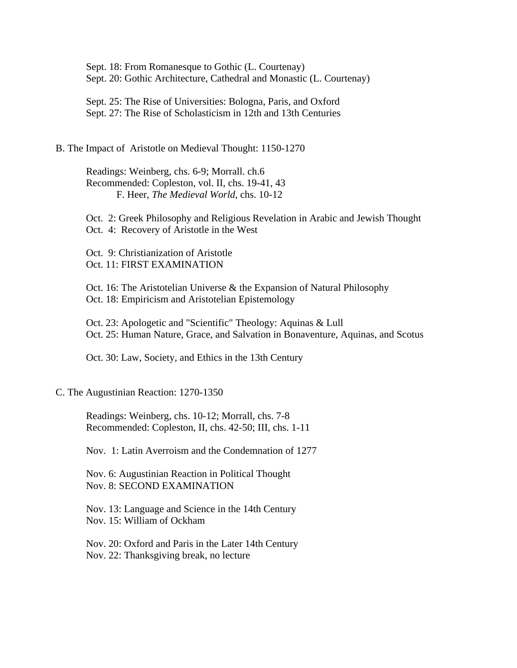Sept. 18: From Romanesque to Gothic (L. Courtenay) Sept. 20: Gothic Architecture, Cathedral and Monastic (L. Courtenay)

 Sept. 25: The Rise of Universities: Bologna, Paris, and Oxford Sept. 27: The Rise of Scholasticism in 12th and 13th Centuries

## B. The Impact of Aristotle on Medieval Thought: 1150-1270

 Readings: Weinberg, chs. 6-9; Morrall. ch.6 Recommended: Copleston, vol. II, chs. 19-41, 43 F. Heer, *The Medieval World*, chs. 10-12

 Oct. 2: Greek Philosophy and Religious Revelation in Arabic and Jewish Thought Oct. 4: Recovery of Aristotle in the West

 Oct. 9: Christianization of Aristotle Oct. 11: FIRST EXAMINATION

 Oct. 16: The Aristotelian Universe & the Expansion of Natural Philosophy Oct. 18: Empiricism and Aristotelian Epistemology

 Oct. 23: Apologetic and "Scientific" Theology: Aquinas & Lull Oct. 25: Human Nature, Grace, and Salvation in Bonaventure, Aquinas, and Scotus

Oct. 30: Law, Society, and Ethics in the 13th Century

#### C. The Augustinian Reaction: 1270-1350

 Readings: Weinberg, chs. 10-12; Morrall, chs. 7-8 Recommended: Copleston, II, chs. 42-50; III, chs. 1-11

Nov. 1: Latin Averroism and the Condemnation of 1277

 Nov. 6: Augustinian Reaction in Political Thought Nov. 8: SECOND EXAMINATION

 Nov. 13: Language and Science in the 14th Century Nov. 15: William of Ockham

 Nov. 20: Oxford and Paris in the Later 14th Century Nov. 22: Thanksgiving break, no lecture